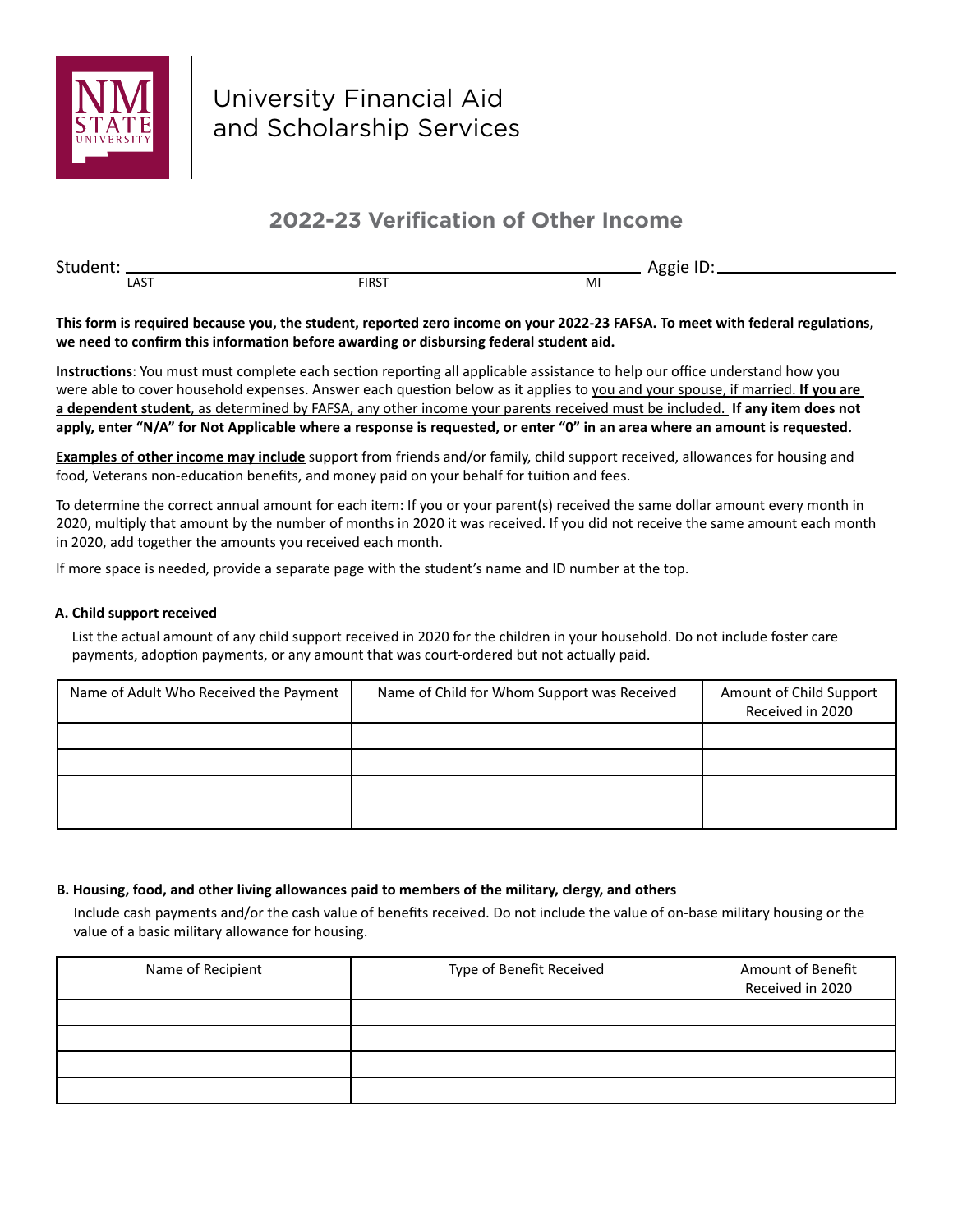

# **2022-23 Verification of Other Income**

Student: Aggie ID: LAST MI

**This form is required because you, the student, reported zero income on your 2022-23 FAFSA. To meet with federal regulations, we need to confirm this information before awarding or disbursing federal student aid.**

**Instructions**: You must must complete each section reporting all applicable assistance to help our office understand how you were able to cover household expenses. Answer each question below as it applies to you and your spouse, if married. **If you are a dependent student**, as determined by FAFSA, any other income your parents received must be included. **If any item does not apply, enter "N/A" for Not Applicable where a response is requested, or enter "0" in an area where an amount is requested.** 

**Examples of other income may include** support from friends and/or family, child support received, allowances for housing and food, Veterans non-education benefits, and money paid on your behalf for tuition and fees.

To determine the correct annual amount for each item: If you or your parent(s) received the same dollar amount every month in 2020, multiply that amount by the number of months in 2020 it was received. If you did not receive the same amount each month in 2020, add together the amounts you received each month.

If more space is needed, provide a separate page with the student's name and ID number at the top.

### **A. Child support received**

List the actual amount of any child support received in 2020 for the children in your household. Do not include foster care payments, adoption payments, or any amount that was court-ordered but not actually paid.

| Name of Adult Who Received the Payment | Name of Child for Whom Support was Received | Amount of Child Support<br>Received in 2020 |
|----------------------------------------|---------------------------------------------|---------------------------------------------|
|                                        |                                             |                                             |
|                                        |                                             |                                             |
|                                        |                                             |                                             |
|                                        |                                             |                                             |

# **B. Housing, food, and other living allowances paid to members of the military, clergy, and others**

Include cash payments and/or the cash value of benefits received. Do not include the value of on-base military housing or the value of a basic military allowance for housing.

| Name of Recipient | Type of Benefit Received | Amount of Benefit<br>Received in 2020 |
|-------------------|--------------------------|---------------------------------------|
|                   |                          |                                       |
|                   |                          |                                       |
|                   |                          |                                       |
|                   |                          |                                       |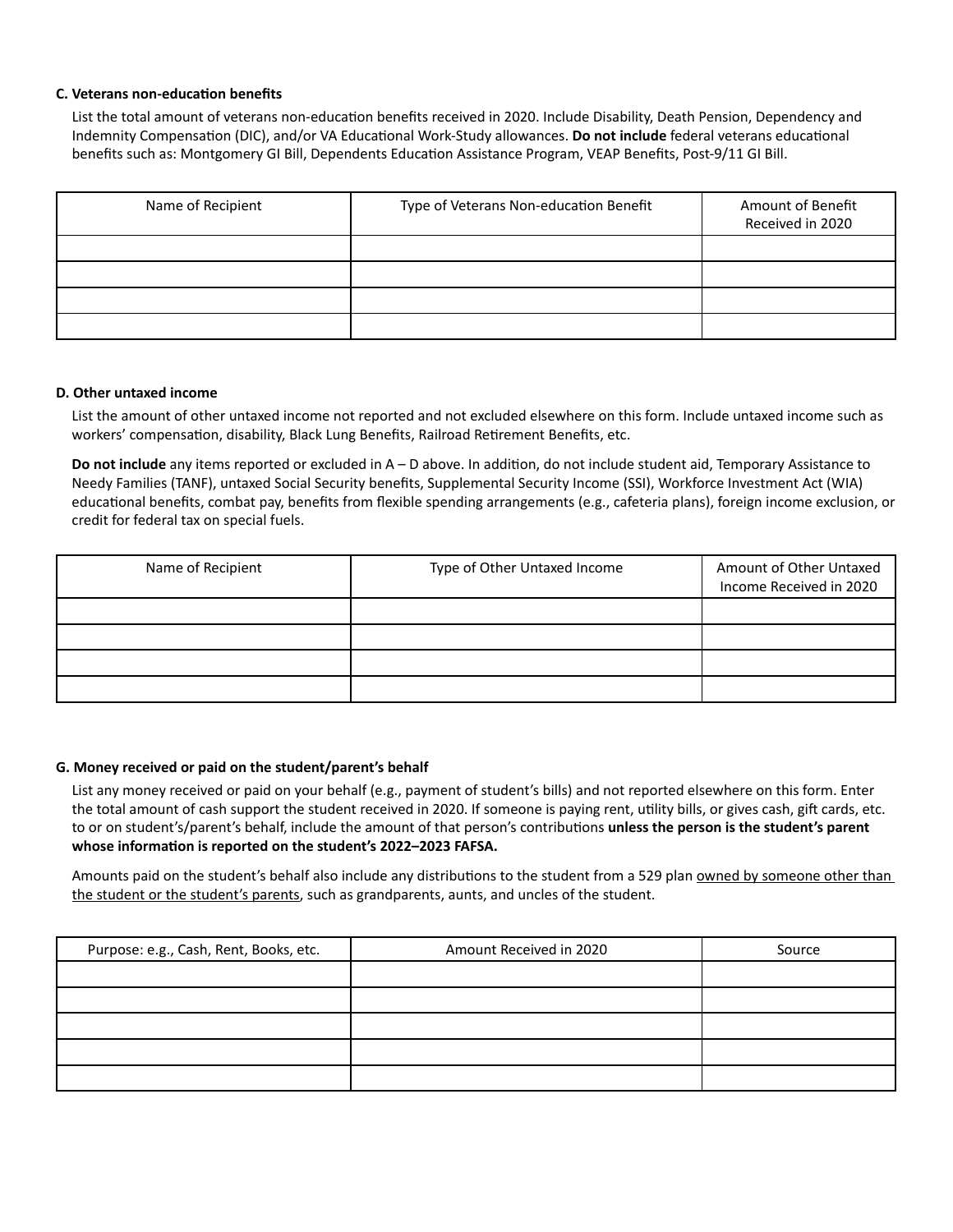### **C. Veterans non-education benefits**

List the total amount of veterans non-education benefits received in 2020. Include Disability, Death Pension, Dependency and Indemnity Compensation (DIC), and/or VA Educational Work-Study allowances. **Do not include** federal veterans educational benefits such as: Montgomery GI Bill, Dependents Education Assistance Program, VEAP Benefits, Post-9/11 GI Bill.

| Name of Recipient | Type of Veterans Non-education Benefit | Amount of Benefit<br>Received in 2020 |
|-------------------|----------------------------------------|---------------------------------------|
|                   |                                        |                                       |
|                   |                                        |                                       |
|                   |                                        |                                       |
|                   |                                        |                                       |

#### **D. Other untaxed income**

List the amount of other untaxed income not reported and not excluded elsewhere on this form. Include untaxed income such as workers' compensation, disability, Black Lung Benefits, Railroad Retirement Benefits, etc.

**Do not include** any items reported or excluded in A – D above. In addition, do not include student aid, Temporary Assistance to Needy Families (TANF), untaxed Social Security benefits, Supplemental Security Income (SSI), Workforce Investment Act (WIA) educational benefits, combat pay, benefits from flexible spending arrangements (e.g., cafeteria plans), foreign income exclusion, or credit for federal tax on special fuels.

| Name of Recipient | Type of Other Untaxed Income | Amount of Other Untaxed<br>Income Received in 2020 |
|-------------------|------------------------------|----------------------------------------------------|
|                   |                              |                                                    |
|                   |                              |                                                    |
|                   |                              |                                                    |
|                   |                              |                                                    |

# **G. Money received or paid on the student/parent's behalf**

List any money received or paid on your behalf (e.g., payment of student's bills) and not reported elsewhere on this form. Enter the total amount of cash support the student received in 2020. If someone is paying rent, utility bills, or gives cash, gift cards, etc. to or on student's/parent's behalf, include the amount of that person's contributions **unless the person is the student's parent whose information is reported on the student's 2022–2023 FAFSA.**

Amounts paid on the student's behalf also include any distributions to the student from a 529 plan owned by someone other than the student or the student's parents, such as grandparents, aunts, and uncles of the student.

| Purpose: e.g., Cash, Rent, Books, etc. | Amount Received in 2020 | Source |
|----------------------------------------|-------------------------|--------|
|                                        |                         |        |
|                                        |                         |        |
|                                        |                         |        |
|                                        |                         |        |
|                                        |                         |        |